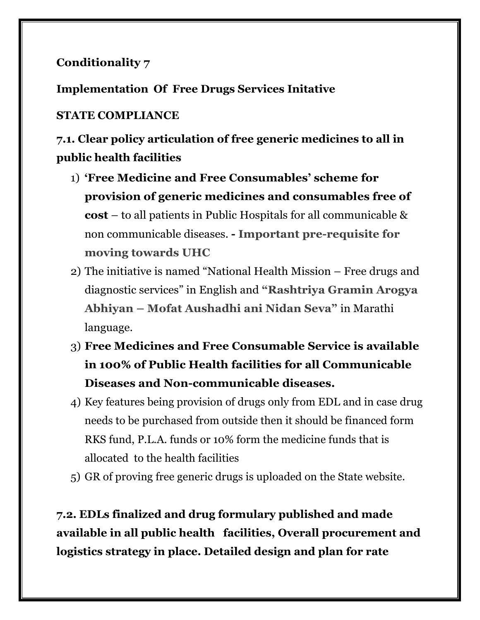## **Conditionality 7**

**Implementation Of Free Drugs Services Initative** 

## **STATE COMPLIANCE**

**7.1. Clear policy articulation of free generic medicines to all in public health facilities**

- 1) **"Free Medicine and Free Consumables" scheme for provision of generic medicines and consumables free of cost** – to all patients in Public Hospitals for all communicable & non communicable diseases. **- Important pre-requisite for moving towards UHC**
- 2) The initiative is named "National Health Mission Free drugs and diagnostic services" in English and **"Rashtriya Gramin Arogya Abhiyan – Mofat Aushadhi ani Nidan Seva"** in Marathi language.
- 3) **Free Medicines and Free Consumable Service is available in 100% of Public Health facilities for all Communicable Diseases and Non-communicable diseases.**
- 4) Key features being provision of drugs only from EDL and in case drug needs to be purchased from outside then it should be financed form RKS fund, P.L.A. funds or 10% form the medicine funds that is allocated to the health facilities
- 5) GR of proving free generic drugs is uploaded on the State website.

**7.2. EDLs finalized and drug formulary published and made available in all public health facilities, Overall procurement and logistics strategy in place. Detailed design and plan for rate**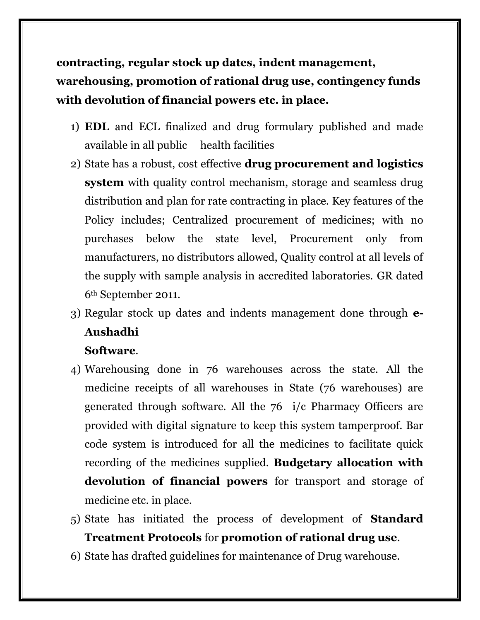**contracting, regular stock up dates, indent management, warehousing, promotion of rational drug use, contingency funds with devolution of financial powers etc. in place.**

- 1) **EDL** and ECL finalized and drug formulary published and made available in all public health facilities
- 2) State has a robust, cost effective **drug procurement and logistics system** with quality control mechanism, storage and seamless drug distribution and plan for rate contracting in place. Key features of the Policy includes; Centralized procurement of medicines; with no purchases below the state level, Procurement only from manufacturers, no distributors allowed, Quality control at all levels of the supply with sample analysis in accredited laboratories. GR dated 6th September 2011.
- 3) Regular stock up dates and indents management done through **e-Aushadhi**

## **Software**.

- 4) Warehousing done in 76 warehouses across the state. All the medicine receipts of all warehouses in State (76 warehouses) are generated through software. All the 76 i/c Pharmacy Officers are provided with digital signature to keep this system tamperproof. Bar code system is introduced for all the medicines to facilitate quick recording of the medicines supplied. **Budgetary allocation with devolution of financial powers** for transport and storage of medicine etc. in place.
- 5) State has initiated the process of development of **Standard Treatment Protocols** for **promotion of rational drug use**.
- 6) State has drafted guidelines for maintenance of Drug warehouse.